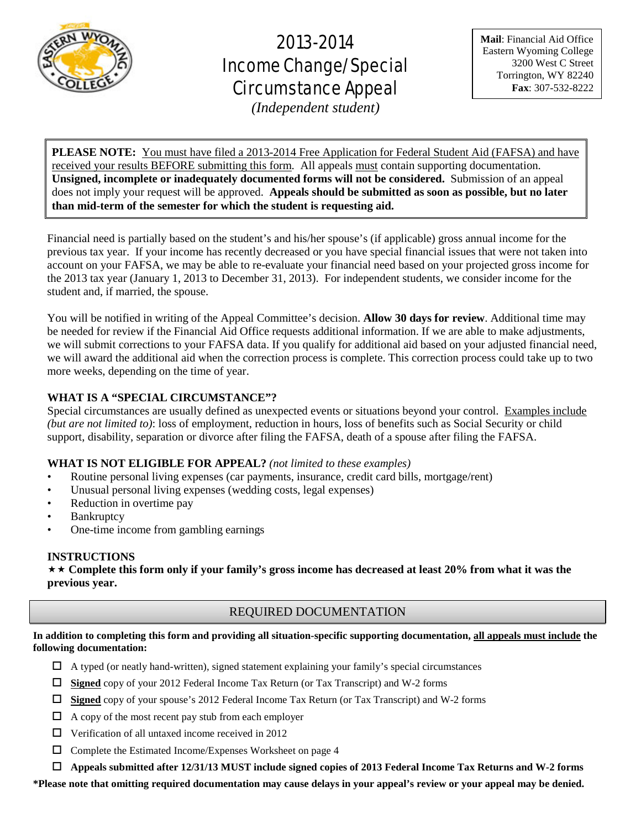

# 2013-2014 Income Change/Special Circumstance Appeal

**Mail**: Financial Aid Office Eastern Wyoming College 3200 West C Street Torrington, WY 82240 **Fax**: 307-532-8222

*(Independent student)*

**PLEASE NOTE:** You must have filed a 2013-2014 Free Application for Federal Student Aid (FAFSA) and have received your results BEFORE submitting this form. All appeals must contain supporting documentation. **Unsigned, incomplete or inadequately documented forms will not be considered.** Submission of an appeal does not imply your request will be approved. **Appeals should be submitted as soon as possible, but no later than mid-term of the semester for which the student is requesting aid.**

Financial need is partially based on the student's and his/her spouse's (if applicable) gross annual income for the previous tax year. If your income has recently decreased or you have special financial issues that were not taken into account on your FAFSA, we may be able to re-evaluate your financial need based on your projected gross income for the 2013 tax year (January 1, 2013 to December 31, 2013). For independent students, we consider income for the student and, if married, the spouse.

You will be notified in writing of the Appeal Committee's decision. **Allow 30 days for review**. Additional time may be needed for review if the Financial Aid Office requests additional information. If we are able to make adjustments, we will submit corrections to your FAFSA data. If you qualify for additional aid based on your adjusted financial need, we will award the additional aid when the correction process is complete. This correction process could take up to two more weeks, depending on the time of year.

# **WHAT IS A "SPECIAL CIRCUMSTANCE"?**

Special circumstances are usually defined as unexpected events or situations beyond your control. Examples include *(but are not limited to)*: loss of employment, reduction in hours, loss of benefits such as Social Security or child support, disability, separation or divorce after filing the FAFSA, death of a spouse after filing the FAFSA.

# **WHAT IS NOT ELIGIBLE FOR APPEAL?** *(not limited to these examples)*

- Routine personal living expenses (car payments, insurance, credit card bills, mortgage/rent)
- Unusual personal living expenses (wedding costs, legal expenses)
- Reduction in overtime pay
- **Bankruptcy**
- One-time income from gambling earnings

# **INSTRUCTIONS**

 **Complete this form only if your family's gross income has decreased at least 20% from what it was the previous year.**

# REQUIRED DOCUMENTATION

**In addition to completing this form and providing all situation-specific supporting documentation, all appeals must include the following documentation:**

- $\Box$  A typed (or neatly hand-written), signed statement explaining your family's special circumstances
- **Signed** copy of your 2012 Federal Income Tax Return (or Tax Transcript) and W-2 forms
- **Signed** copy of your spouse's 2012 Federal Income Tax Return (or Tax Transcript) and W-2 forms
- $\Box$  A copy of the most recent pay stub from each employer
- $\Box$  Verification of all untaxed income received in 2012
- $\Box$  Complete the Estimated Income/Expenses Worksheet on page 4
- **Appeals submitted after 12/31/13 MUST include signed copies of 2013 Federal Income Tax Returns and W-2 forms**

**\*Please note that omitting required documentation may cause delays in your appeal's review or your appeal may be denied.**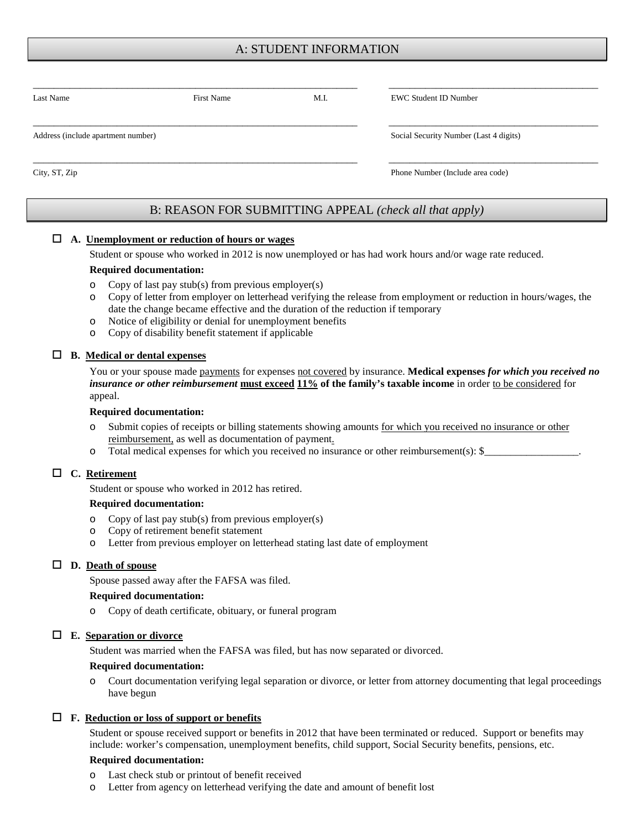# A: STUDENT INFORMATION

| Last Name                          | <b>First Name</b> | M.I.                             | <b>EWC Student ID Number</b>           |  |
|------------------------------------|-------------------|----------------------------------|----------------------------------------|--|
| Address (include apartment number) |                   |                                  | Social Security Number (Last 4 digits) |  |
| City, ST, Zip                      |                   | Phone Number (Include area code) |                                        |  |

# B: REASON FOR SUBMITTING APPEAL *(check all that apply)*

#### **A. Unemployment or reduction of hours or wages**

Student or spouse who worked in 2012 is now unemployed or has had work hours and/or wage rate reduced.

#### **Required documentation:**

- o Copy of last pay stub(s) from previous employer(s)
- o Copy of letter from employer on letterhead verifying the release from employment or reduction in hours/wages, the date the change became effective and the duration of the reduction if temporary
- o Notice of eligibility or denial for unemployment benefits
- o Copy of disability benefit statement if applicable

#### **B. Medical or dental expenses**

You or your spouse made **payments** for expenses not covered by insurance. **Medical expenses** *for which you received no insurance or other reimbursement* **must exceed 11% of the family's taxable income** in order to be considered for appeal.

#### **Required documentation:**

- o Submit copies of receipts or billing statements showing amounts for which you received no insurance or other reimbursement, as well as documentation of payment.
- o Total medical expenses for which you received no insurance or other reimbursement(s): \$

## **C. Retirement**

Student or spouse who worked in 2012 has retired.

#### **Required documentation:**

- o Copy of last pay stub(s) from previous employer(s)
- o Copy of retirement benefit statement
- o Letter from previous employer on letterhead stating last date of employment

#### **D. Death of spouse**

Spouse passed away after the FAFSA was filed.

#### **Required documentation:**

o Copy of death certificate, obituary, or funeral program

#### **E. Separation or divorce**

Student was married when the FAFSA was filed, but has now separated or divorced.

#### **Required documentation:**

o Court documentation verifying legal separation or divorce, or letter from attorney documenting that legal proceedings have begun

#### **F. Reduction or loss of support or benefits**

Student or spouse received support or benefits in 2012 that have been terminated or reduced. Support or benefits may include: worker's compensation, unemployment benefits, child support, Social Security benefits, pensions, etc.

#### **Required documentation:**

- o Last check stub or printout of benefit received
- Letter from agency on letterhead verifying the date and amount of benefit lost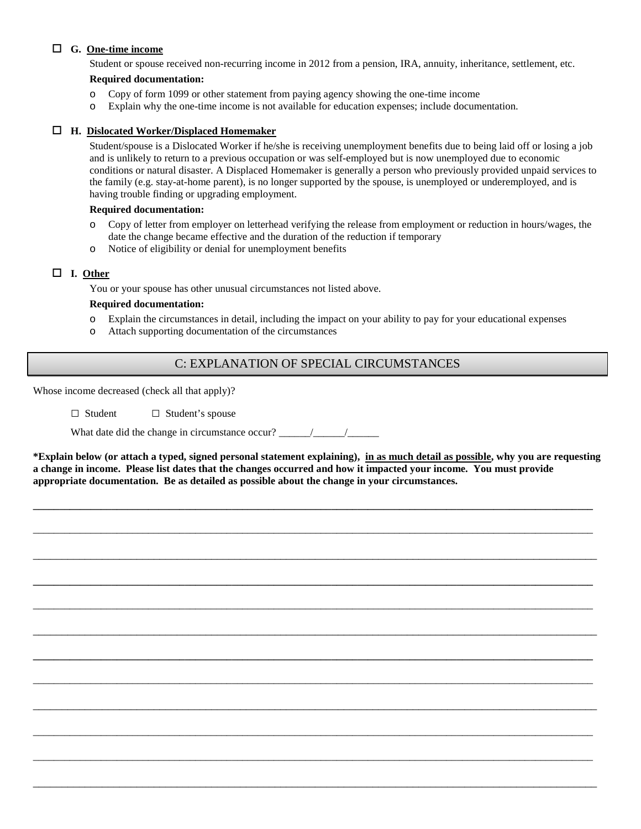# **G. One-time income**

Student or spouse received non-recurring income in 2012 from a pension, IRA, annuity, inheritance, settlement, etc.

## **Required documentation:**

- o Copy of form 1099 or other statement from paying agency showing the one-time income
- o Explain why the one-time income is not available for education expenses; include documentation.

## **H. Dislocated Worker/Displaced Homemaker**

Student/spouse is a Dislocated Worker if he/she is receiving unemployment benefits due to being laid off or losing a job and is unlikely to return to a previous occupation or was self-employed but is now unemployed due to economic conditions or natural disaster. A Displaced Homemaker is generally a person who previously provided unpaid services to the family (e.g. stay-at-home parent), is no longer supported by the spouse, is unemployed or underemployed, and is having trouble finding or upgrading employment.

#### **Required documentation:**

- o Copy of letter from employer on letterhead verifying the release from employment or reduction in hours/wages, the date the change became effective and the duration of the reduction if temporary
- o Notice of eligibility or denial for unemployment benefits

## **I. Other**

You or your spouse has other unusual circumstances not listed above.

## **Required documentation:**

- o Explain the circumstances in detail, including the impact on your ability to pay for your educational expenses
- o Attach supporting documentation of the circumstances

# C: EXPLANATION OF SPECIAL CIRCUMSTANCES

Whose income decreased (check all that apply)?

□ Student □ Student's spouse

What date did the change in circumstance occur? \_\_\_\_\_\_/\_\_\_\_\_\_/\_\_\_\_\_\_

**\*Explain below (or attach a typed, signed personal statement explaining), in as much detail as possible, why you are requesting a change in income. Please list dates that the changes occurred and how it impacted your income. You must provide appropriate documentation. Be as detailed as possible about the change in your circumstances.**

**\_\_\_\_\_\_\_\_\_\_\_\_\_\_\_\_\_\_\_\_\_\_\_\_\_\_\_\_\_\_\_\_\_\_\_\_\_\_\_\_\_\_\_\_\_\_\_\_\_\_\_\_\_\_\_\_\_\_\_\_\_\_\_\_\_\_\_\_\_\_\_\_\_\_\_\_\_\_\_\_\_\_\_\_\_\_\_\_\_\_\_\_\_\_\_\_\_\_\_\_\_\_\_\_\_\_\_**

\_\_\_\_\_\_\_\_\_\_\_\_\_\_\_\_\_\_\_\_\_\_\_\_\_\_\_\_\_\_\_\_\_\_\_\_\_\_\_\_\_\_\_\_\_\_\_\_\_\_\_\_\_\_\_\_\_\_\_\_\_\_\_\_\_\_\_\_\_\_\_\_\_\_\_\_\_\_\_\_\_\_\_\_\_\_\_\_\_\_\_\_\_\_\_\_\_\_\_\_\_\_\_\_\_\_\_

\_\_\_\_\_\_\_\_\_\_\_\_\_\_\_\_\_\_\_\_\_\_\_\_\_\_\_\_\_\_\_\_\_\_\_\_\_\_\_\_\_\_\_\_\_\_\_\_\_\_\_\_\_\_\_\_\_\_\_\_\_\_\_\_\_\_\_\_\_\_\_\_\_\_\_\_\_\_\_\_\_\_\_\_\_\_\_\_\_\_\_\_\_\_\_\_\_\_

**\_\_\_\_\_\_\_\_\_\_\_\_\_\_\_\_\_\_\_\_\_\_\_\_\_\_\_\_\_\_\_\_\_\_\_\_\_\_\_\_\_\_\_\_\_\_\_\_\_\_\_\_\_\_\_\_\_\_\_\_\_\_\_\_\_\_\_\_\_\_\_\_\_\_\_\_\_\_\_\_\_\_\_\_\_\_\_\_\_\_\_\_\_\_\_\_\_\_\_\_\_\_\_\_\_\_\_**

\_\_\_\_\_\_\_\_\_\_\_\_\_\_\_\_\_\_\_\_\_\_\_\_\_\_\_\_\_\_\_\_\_\_\_\_\_\_\_\_\_\_\_\_\_\_\_\_\_\_\_\_\_\_\_\_\_\_\_\_\_\_\_\_\_\_\_\_\_\_\_\_\_\_\_\_\_\_\_\_\_\_\_\_\_\_\_\_\_\_\_\_\_\_\_\_\_\_\_\_\_\_\_\_\_\_\_

\_\_\_\_\_\_\_\_\_\_\_\_\_\_\_\_\_\_\_\_\_\_\_\_\_\_\_\_\_\_\_\_\_\_\_\_\_\_\_\_\_\_\_\_\_\_\_\_\_\_\_\_\_\_\_\_\_\_\_\_\_\_\_\_\_\_\_\_\_\_\_\_\_\_\_\_\_\_\_\_\_\_\_\_\_\_\_\_\_\_\_\_\_\_\_\_\_\_

**\_\_\_\_\_\_\_\_\_\_\_\_\_\_\_\_\_\_\_\_\_\_\_\_\_\_\_\_\_\_\_\_\_\_\_\_\_\_\_\_\_\_\_\_\_\_\_\_\_\_\_\_\_\_\_\_\_\_\_\_\_\_\_\_\_\_\_\_\_\_\_\_\_\_\_\_\_\_\_\_\_\_\_\_\_\_\_\_\_\_\_\_\_\_\_\_\_\_\_\_\_\_\_\_\_\_\_**

\_\_\_\_\_\_\_\_\_\_\_\_\_\_\_\_\_\_\_\_\_\_\_\_\_\_\_\_\_\_\_\_\_\_\_\_\_\_\_\_\_\_\_\_\_\_\_\_\_\_\_\_\_\_\_\_\_\_\_\_\_\_\_\_\_\_\_\_\_\_\_\_\_\_\_\_\_\_\_\_\_\_\_\_\_\_\_\_\_\_\_\_\_\_\_\_\_\_\_\_\_\_\_\_\_\_\_

\_\_\_\_\_\_\_\_\_\_\_\_\_\_\_\_\_\_\_\_\_\_\_\_\_\_\_\_\_\_\_\_\_\_\_\_\_\_\_\_\_\_\_\_\_\_\_\_\_\_\_\_\_\_\_\_\_\_\_\_\_\_\_\_\_\_\_\_\_\_\_\_\_\_\_\_\_\_\_\_\_\_\_\_\_\_\_\_\_\_\_\_\_\_\_\_\_\_

\_\_\_\_\_\_\_\_\_\_\_\_\_\_\_\_\_\_\_\_\_\_\_\_\_\_\_\_\_\_\_\_\_\_\_\_\_\_\_\_\_\_\_\_\_\_\_\_\_\_\_\_\_\_\_\_\_\_\_\_\_\_\_\_\_\_\_\_\_\_\_\_\_\_\_\_\_\_\_\_\_\_\_\_\_\_\_\_\_\_\_\_\_\_\_\_\_\_\_\_\_\_\_\_\_\_\_

\_\_\_\_\_\_\_\_\_\_\_\_\_\_\_\_\_\_\_\_\_\_\_\_\_\_\_\_\_\_\_\_\_\_\_\_\_\_\_\_\_\_\_\_\_\_\_\_\_\_\_\_\_\_\_\_\_\_\_\_\_\_\_\_\_\_\_\_\_\_\_\_\_\_\_\_\_\_\_\_\_\_\_\_\_\_\_\_\_\_\_\_\_\_\_\_\_\_\_\_\_\_\_\_\_\_\_

\_\_\_\_\_\_\_\_\_\_\_\_\_\_\_\_\_\_\_\_\_\_\_\_\_\_\_\_\_\_\_\_\_\_\_\_\_\_\_\_\_\_\_\_\_\_\_\_\_\_\_\_\_\_\_\_\_\_\_\_\_\_\_\_\_\_\_\_\_\_\_\_\_\_\_\_\_\_\_\_\_\_\_\_\_\_\_\_\_\_\_\_\_\_\_\_\_\_